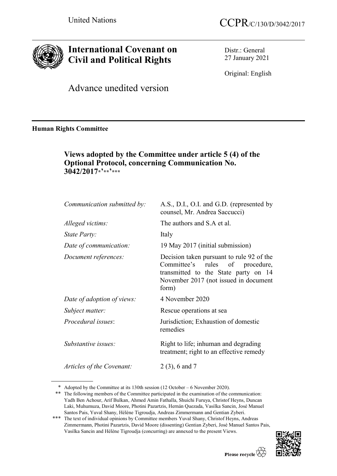

# **International Covenant on Civil and Political Rights**

Distr.: General 27 January 2021

Original: English

Advance unedited version

**Human Rights Committee**

## **Views adopted by the Committee under article 5 (4) of the Optional Protocol, concerning Communication No. 3042/2017\*'\*\*'\*\*\***

| Communication submitted by: | A.S., D.I., O.I. and G.D. (represented by<br>counsel, Mr. Andrea Saccucci)                                                                                             |
|-----------------------------|------------------------------------------------------------------------------------------------------------------------------------------------------------------------|
| Alleged victims:            | The authors and S.A et al.                                                                                                                                             |
| State Party:                | Italy                                                                                                                                                                  |
| Date of communication:      | 19 May 2017 (initial submission)                                                                                                                                       |
| Document references:        | Decision taken pursuant to rule 92 of the<br>Committee's rules of procedure,<br>transmitted to the State party on 14<br>November 2017 (not issued in document<br>form) |
| Date of adoption of views:  | 4 November 2020                                                                                                                                                        |
| Subject matter:             | Rescue operations at sea                                                                                                                                               |
| <i>Procedural issues:</i>   | Jurisdiction; Exhaustion of domestic<br>remedies                                                                                                                       |
| Substantive issues:         | Right to life; inhuman and degrading<br>treatment; right to an effective remedy                                                                                        |
| Articles of the Covenant:   | $2(3)$ , 6 and 7                                                                                                                                                       |

<sup>\*</sup> Adopted by the Committee at its 130th session (12 October – 6 November 2020).

<sup>\*\*\*</sup> The text of individual opinions by Committee members Yuval Shany, Christof Heyns, Andreas Zimmermann, Photini Pazartzis, David Moore (dissenting) Gentian Zyberi, José Manuel Santos Pais, Vasilka Sancin and Hélène Tigroudja (concurring) are annexed to the present Views.



<sup>\*\*</sup> The following members of the Committee participated in the examination of the communication: Yadh Ben Achour, Arif Bulkan, Ahmed Amin Fathalla, Shuichi Furuya, Christof Heyns, Duncan Laki, Muhumuza, David Moore, Photini Pazartzis, Hernán Quezada, Vasilka Sancin, José Manuel Santos Pais, Yuval Shany, Hélène Tigroudja, Andreas Zimmermann and Gentian Zyberi.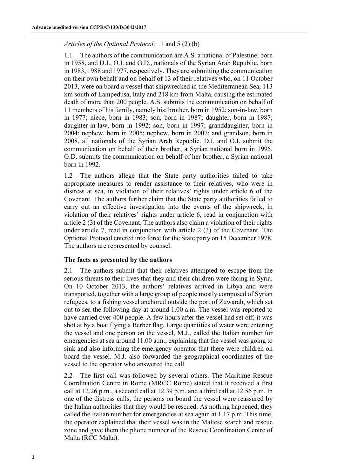## *Articles of the Optional Protocol:* 1 and 5 (2) (b)

1.1 The authors of the communication are A.S. a national of Palestine, born in 1958, and D.I., O.I. and G.D., nationals of the Syrian Arab Republic, born in 1983, 1988 and 1977, respectively. They are submitting the communication on their own behalf and on behalf of 13 of their relatives who, on 11 October 2013, were on board a vessel that shipwrecked in the Mediterranean Sea, 113 km south of Lampedusa, Italy and 218 km from Malta, causing the estimated death of more than 200 people. A.S. submits the communication on behalf of 11 members of his family, namely his: brother, born in 1952; son-in-law, born in 1977; niece, born in 1983; son, born in 1987; daughter, born in 1987; daughter-in-law, born in 1992; son, born in 1997; granddaughter, born in 2004; nephew, born in 2005; nephew, born in 2007; and grandson, born in 2008, all nationals of the Syrian Arab Republic. D.I. and O.I. submit the communication on behalf of their brother, a Syrian national born in 1995. G.D. submits the communication on behalf of her brother, a Syrian national born in 1992.

1.2 The authors allege that the State party authorities failed to take appropriate measures to render assistance to their relatives, who were in distress at sea, in violation of their relatives' rights under article 6 of the Covenant. The authors further claim that the State party authorities failed to carry out an effective investigation into the events of the shipwreck, in violation of their relatives' rights under article 6, read in conjunction with article 2 (3) of the Covenant. The authors also claim a violation of their rights under article 7, read in conjunction with article 2 (3) of the Covenant. The Optional Protocol entered into force for the State party on 15 December 1978. The authors are represented by counsel.

## **The facts as presented by the authors**

2.1 The authors submit that their relatives attempted to escape from the serious threats to their lives that they and their children were facing in Syria. On 10 October 2013, the authors' relatives arrived in Libya and were transported, together with a large group of people mostly composed of Syrian refugees, to a fishing vessel anchored outside the port of Zuwarah, which set out to sea the following day at around 1.00 a.m. The vessel was reported to have carried over 400 people. A few hours after the vessel had set off, it was shot at by a boat flying a Berber flag. Large quantities of water were entering the vessel and one person on the vessel, M.J., called the Italian number for emergencies at sea around 11.00 a.m., explaining that the vessel was going to sink and also informing the emergency operator that there were children on board the vessel. M.J. also forwarded the geographical coordinates of the vessel to the operator who answered the call.

2.2 The first call was followed by several others. The Maritime Rescue Coordination Centre in Rome (MRCC Rome) stated that it received a first call at 12.26 p.m., a second call at 12.39 p.m. and a third call at 12.56 p.m. In one of the distress calls, the persons on board the vessel were reassured by the Italian authorities that they would be rescued. As nothing happened, they called the Italian number for emergencies at sea again at 1.17 p.m. This time, the operator explained that their vessel was in the Maltese search and rescue zone and gave them the phone number of the Rescue Coordination Centre of Malta (RCC Malta).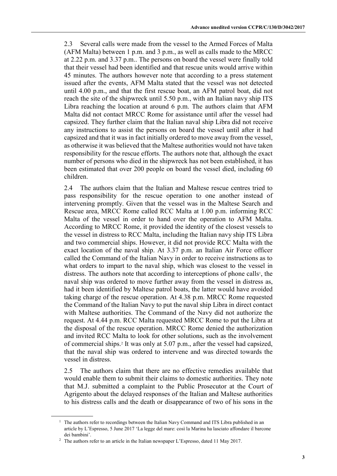2.3 Several calls were made from the vessel to the Armed Forces of Malta (AFM Malta) between 1 p.m. and 3 p.m., as well as calls made to the MRCC at 2.22 p.m. and 3.37 p.m.. The persons on board the vessel were finally told that their vessel had been identified and that rescue units would arrive within 45 minutes. The authors however note that according to a press statement issued after the events, AFM Malta stated that the vessel was not detected until 4.00 p.m., and that the first rescue boat, an AFM patrol boat, did not reach the site of the shipwreck until 5.50 p.m., with an Italian navy ship ITS Libra reaching the location at around 6 p.m. The authors claim that AFM Malta did not contact MRCC Rome for assistance until after the vessel had capsized. They further claim that the Italian naval ship Libra did not receive any instructions to assist the persons on board the vessel until after it had capsized and that it was in fact initially ordered to move away from the vessel, as otherwise it was believed that the Maltese authorities would not have taken responsibility for the rescue efforts. The authors note that, although the exact number of persons who died in the shipwreck has not been established, it has been estimated that over 200 people on board the vessel died, including 60 children.

2.4 The authors claim that the Italian and Maltese rescue centres tried to pass responsibility for the rescue operation to one another instead of intervening promptly. Given that the vessel was in the Maltese Search and Rescue area, MRCC Rome called RCC Malta at 1.00 p.m. informing RCC Malta of the vessel in order to hand over the operation to AFM Malta. According to MRCC Rome, it provided the identity of the closest vessels to the vessel in distress to RCC Malta, including the Italian navy ship ITS Libra and two commercial ships. However, it did not provide RCC Malta with the exact location of the naval ship. At 3.37 p.m. an Italian Air Force officer called the Command of the Italian Navy in order to receive instructions as to what orders to impart to the naval ship, which was closest to the vessel in distress. The authors note that according to interceptions of phone calls<sup>1</sup>, the naval ship was ordered to move further away from the vessel in distress as, had it been identified by Maltese patrol boats, the latter would have avoided taking charge of the rescue operation. At 4.38 p.m. MRCC Rome requested the Command of the Italian Navy to put the naval ship Libra in direct contact with Maltese authorities. The Command of the Navy did not authorize the request. At 4.44 p.m. RCC Malta requested MRCC Rome to put the Libra at the disposal of the rescue operation. MRCC Rome denied the authorization and invited RCC Malta to look for other solutions, such as the involvement of commercial ships.2 It was only at 5.07 p.m., after the vessel had capsized, that the naval ship was ordered to intervene and was directed towards the vessel in distress.

2.5 The authors claim that there are no effective remedies available that would enable them to submit their claims to domestic authorities. They note that M.J. submitted a complaint to the Public Prosecutor at the Court of Agrigento about the delayed responses of the Italian and Maltese authorities to his distress calls and the death or disappearance of two of his sons in the

<sup>&</sup>lt;sup>1</sup> The authors refer to recordings between the Italian Navy Command and ITS Libra published in an article by L'Espresso, 5 June 2017 'La legge del mare: così la Marina ha lasciato affondare il barcone dei bambini'.

<sup>&</sup>lt;sup>2</sup> The authors refer to an article in the Italian newspaper L'Espresso, dated 11 May 2017.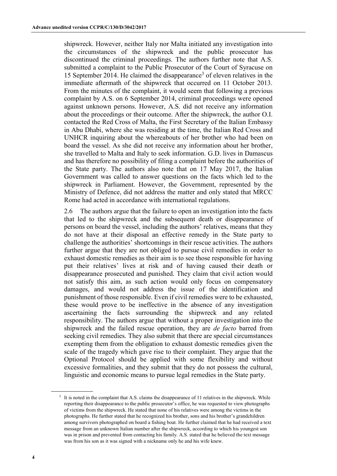shipwreck. However, neither Italy nor Malta initiated any investigation into the circumstances of the shipwreck and the public prosecutor has discontinued the criminal proceedings. The authors further note that A.S. submitted a complaint to the Public Prosecutor of the Court of Syracuse on 15 September 2014. He claimed the disappearance<sup>3</sup> of eleven relatives in the immediate aftermath of the shipwreck that occurred on 11 October 2013. From the minutes of the complaint, it would seem that following a previous complaint by A.S. on 6 September 2014, criminal proceedings were opened against unknown persons. However, A.S. did not receive any information about the proceedings or their outcome. After the shipwreck, the author O.I. contacted the Red Cross of Malta, the First Secretary of the Italian Embassy in Abu Dhabi, where she was residing at the time, the Italian Red Cross and UNHCR inquiring about the whereabouts of her brother who had been on board the vessel. As she did not receive any information about her brother, she travelled to Malta and Italy to seek information. G.D. lives in Damascus and has therefore no possibility of filing a complaint before the authorities of the State party. The authors also note that on 17 May 2017, the Italian Government was called to answer questions on the facts which led to the shipwreck in Parliament. However, the Government, represented by the Ministry of Defence, did not address the matter and only stated that MRCC Rome had acted in accordance with international regulations.

2.6 The authors argue that the failure to open an investigation into the facts that led to the shipwreck and the subsequent death or disappearance of persons on board the vessel, including the authors' relatives, means that they do not have at their disposal an effective remedy in the State party to challenge the authorities' shortcomings in their rescue activities. The authors further argue that they are not obliged to pursue civil remedies in order to exhaust domestic remedies as their aim is to see those responsible for having put their relatives' lives at risk and of having caused their death or disappearance prosecuted and punished. They claim that civil action would not satisfy this aim, as such action would only focus on compensatory damages, and would not address the issue of the identification and punishment of those responsible. Even if civil remedies were to be exhausted, these would prove to be ineffective in the absence of any investigation ascertaining the facts surrounding the shipwreck and any related responsibility. The authors argue that without a proper investigation into the shipwreck and the failed rescue operation, they are *de facto* barred from seeking civil remedies. They also submit that there are special circumstances exempting them from the obligation to exhaust domestic remedies given the scale of the tragedy which gave rise to their complaint. They argue that the Optional Protocol should be applied with some flexibility and without excessive formalities, and they submit that they do not possess the cultural, linguistic and economic means to pursue legal remedies in the State party.

<sup>&</sup>lt;sup>3</sup> It is noted in the complaint that A.S. claims the disappearance of 11 relatives in the shipwreck. While reporting their disappearance to the public prosecutor's office, he was requested to view photographs of victims from the shipwreck. He stated that none of his relatives were among the victims in the photographs. He further stated that he recognized his brother, sons and his brother's grandchildren among survivors photographed on board a fishing boat. He further claimed that he had received a text message from an unknown Italian number after the shipwreck, according to which his youngest son was in prison and prevented from contacting his family. A.S. stated that he believed the text message was from his son as it was signed with a nickname only he and his wife knew.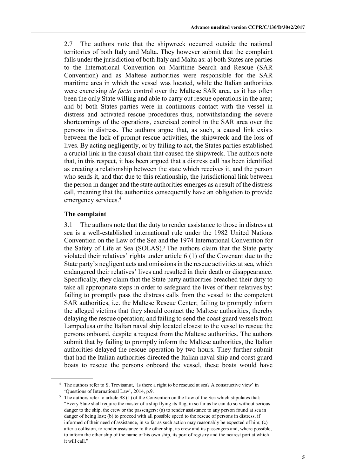2.7 The authors note that the shipwreck occurred outside the national territories of both Italy and Malta. They however submit that the complaint falls under the jurisdiction of both Italy and Malta as: a) both States are parties to the International Convention on Maritime Search and Rescue (SAR Convention) and as Maltese authorities were responsible for the SAR maritime area in which the vessel was located, while the Italian authorities were exercising *de facto* control over the Maltese SAR area, as it has often been the only State willing and able to carry out rescue operations in the area; and b) both States parties were in continuous contact with the vessel in distress and activated rescue procedures thus, notwithstanding the severe shortcomings of the operations, exercised control in the SAR area over the persons in distress. The authors argue that, as such, a causal link exists between the lack of prompt rescue activities, the shipwreck and the loss of lives. By acting negligently, or by failing to act, the States parties established a crucial link in the causal chain that caused the shipwreck. The authors note that, in this respect, it has been argued that a distress call has been identified as creating a relationship between the state which receives it, and the person who sends it, and that due to this relationship, the jurisdictional link between the person in danger and the state authorities emerges as a result of the distress call, meaning that the authorities consequently have an obligation to provide emergency services.<sup>4</sup>

## **The complaint**

3.1 The authors note that the duty to render assistance to those in distress at sea is a well-established international rule under the 1982 United Nations Convention on the Law of the Sea and the 1974 International Convention for the Safety of Life at Sea (SOLAS).<sup>5</sup> The authors claim that the State party violated their relatives' rights under article 6 (1) of the Covenant due to the State party's negligent acts and omissions in the rescue activities at sea, which endangered their relatives' lives and resulted in their death or disappearance. Specifically, they claim that the State party authorities breached their duty to take all appropriate steps in order to safeguard the lives of their relatives by: failing to promptly pass the distress calls from the vessel to the competent SAR authorities, i.e. the Maltese Rescue Center; failing to promptly inform the alleged victims that they should contact the Maltese authorities, thereby delaying the rescue operation; and failing to send the coast guard vessels from Lampedusa or the Italian naval ship located closest to the vessel to rescue the persons onboard, despite a request from the Maltese authorities. The authors submit that by failing to promptly inform the Maltese authorities, the Italian authorities delayed the rescue operation by two hours. They further submit that had the Italian authorities directed the Italian naval ship and coast guard boats to rescue the persons onboard the vessel, these boats would have

<sup>4</sup> The authors refer to S. Trevisanut, 'Is there a right to be rescued at sea? A constructive view' in 'Questions of International Law', 2014, p.9.

<sup>&</sup>lt;sup>5</sup> The authors refer to article 98 (1) of the Convention on the Law of the Sea which stipulates that: "Every State shall require the master of a ship flying its flag, in so far as he can do so without serious danger to the ship, the crew or the passengers: (a) to render assistance to any person found at sea in danger of being lost; (b) to proceed with all possible speed to the rescue of persons in distress, if informed of their need of assistance, in so far as such action may reasonably be expected of him; (c) after a collision, to render assistance to the other ship, its crew and its passengers and, where possible, to inform the other ship of the name of his own ship, its port of registry and the nearest port at which it will call."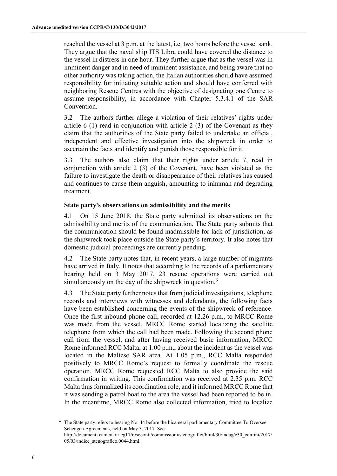reached the vessel at 3 p.m. at the latest, i.e. two hours before the vessel sank. They argue that the naval ship ITS Libra could have covered the distance to the vessel in distress in one hour. They further argue that as the vessel was in imminent danger and in need of imminent assistance, and being aware that no other authority was taking action, the Italian authorities should have assumed responsibility for initiating suitable action and should have conferred with neighboring Rescue Centres with the objective of designating one Centre to assume responsibility, in accordance with Chapter 5.3.4.1 of the SAR **Convention** 

3.2 The authors further allege a violation of their relatives' rights under article 6 (1) read in conjunction with article 2 (3) of the Covenant as they claim that the authorities of the State party failed to undertake an official, independent and effective investigation into the shipwreck in order to ascertain the facts and identify and punish those responsible for it.

3.3 The authors also claim that their rights under article 7, read in conjunction with article 2 (3) of the Covenant, have been violated as the failure to investigate the death or disappearance of their relatives has caused and continues to cause them anguish, amounting to inhuman and degrading treatment.

## **State party's observations on admissibility and the merits**

4.1 On 15 June 2018, the State party submitted its observations on the admissibility and merits of the communication. The State party submits that the communication should be found inadmissible for lack of jurisdiction, as the shipwreck took place outside the State party's territory. It also notes that domestic judicial proceedings are currently pending.

4.2 The State party notes that, in recent years, a large number of migrants have arrived in Italy. It notes that according to the records of a parliamentary hearing held on 3 May 2017, 23 rescue operations were carried out simultaneously on the day of the shipwreck in question.<sup>6</sup>

4.3 The State party further notes that from judicial investigations, telephone records and interviews with witnesses and defendants, the following facts have been established concerning the events of the shipwreck of reference. Once the first inbound phone call, recorded at 12.26 p.m., to MRCC Rome was made from the vessel, MRCC Rome started localizing the satellite telephone from which the call had been made. Following the second phone call from the vessel, and after having received basic information, MRCC Rome informed RCC Malta, at 1.00 p.m., about the incident as the vessel was located in the Maltese SAR area. At 1.05 p.m., RCC Malta responded positively to MRCC Rome's request to formally coordinate the rescue operation. MRCC Rome requested RCC Malta to also provide the said confirmation in writing. This confirmation was received at 2.35 p.m. RCC Malta thus formalized its coordination role, and it informed MRCC Rome that it was sending a patrol boat to the area the vessel had been reported to be in. In the meantime, MRCC Rome also collected information, tried to localize

<sup>6</sup> The State party refers to hearing No. 44 before the bicameral parliamentary Committee To Oversee Schengen Agreements, held on May 3, 2017. See: http://documenti.camera.it/leg17/resoconti/commissioni/stenografici/html/30/indag/c30\_confini/2017/ 05/03/indice\_stenografico.0044.html.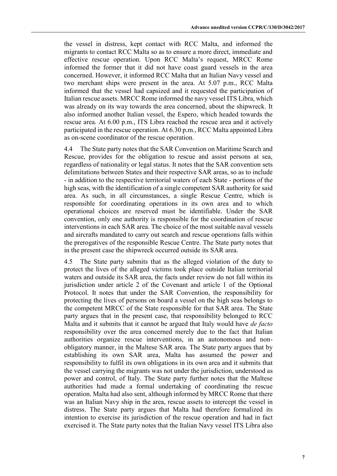the vessel in distress, kept contact with RCC Malta, and informed the migrants to contact RCC Malta so as to ensure a more direct, immediate and effective rescue operation. Upon RCC Malta's request, MRCC Rome informed the former that it did not have coast guard vessels in the area concerned. However, it informed RCC Malta that an Italian Navy vessel and two merchant ships were present in the area. At 5.07 p.m., RCC Malta informed that the vessel had capsized and it requested the participation of Italian rescue assets. MRCC Rome informed the navy vessel ITS Libra, which was already on its way towards the area concerned, about the shipwreck. It also informed another Italian vessel, the Espero, which headed towards the rescue area. At 6.00 p.m., ITS Libra reached the rescue area and it actively participated in the rescue operation. At 6.30 p.m., RCC Malta appointed Libra as on-scene coordinator of the rescue operation.

4.4 The State party notes that the SAR Convention on Maritime Search and Rescue, provides for the obligation to rescue and assist persons at sea, regardless of nationality or legal status. It notes that the SAR convention sets delimitations between States and their respective SAR areas, so as to include - in addition to the respective territorial waters of each State - portions of the high seas, with the identification of a single competent SAR authority for said area. As such, in all circumstances, a single Rescue Centre, which is responsible for coordinating operations in its own area and to which operational choices are reserved must be identifiable. Under the SAR convention, only one authority is responsible for the coordination of rescue interventions in each SAR area. The choice of the most suitable naval vessels and aircrafts mandated to carry out search and rescue operations falls within the prerogatives of the responsible Rescue Centre. The State party notes that in the present case the shipwreck occurred outside its SAR area.

4.5 The State party submits that as the alleged violation of the duty to protect the lives of the alleged victims took place outside Italian territorial waters and outside its SAR area, the facts under review do not fall within its jurisdiction under article 2 of the Covenant and article 1 of the Optional Protocol. It notes that under the SAR Convention, the responsibility for protecting the lives of persons on board a vessel on the high seas belongs to the competent MRCC of the State responsible for that SAR area. The State party argues that in the present case, that responsibility belonged to RCC Malta and it submits that it cannot be argued that Italy would have *de facto* responsibility over the area concerned merely due to the fact that Italian authorities organize rescue interventions, in an autonomous and nonobligatory manner, in the Maltese SAR area. The State party argues that by establishing its own SAR area, Malta has assumed the power and responsibility to fulfil its own obligations in its own area and it submits that the vessel carrying the migrants was not under the jurisdiction, understood as power and control, of Italy. The State party further notes that the Maltese authorities had made a formal undertaking of coordinating the rescue operation. Malta had also sent, although informed by MRCC Rome that there was an Italian Navy ship in the area, rescue assets to intercept the vessel in distress. The State party argues that Malta had therefore formalized its intention to exercise its jurisdiction of the rescue operation and had in fact exercised it. The State party notes that the Italian Navy vessel ITS Libra also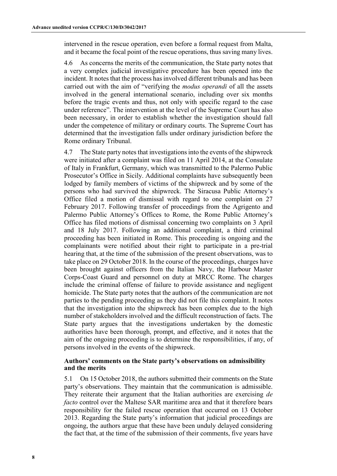intervened in the rescue operation, even before a formal request from Malta, and it became the focal point of the rescue operations, thus saving many lives.

4.6 As concerns the merits of the communication, the State party notes that a very complex judicial investigative procedure has been opened into the incident. It notes that the process has involved different tribunals and has been carried out with the aim of "verifying the *modus operandi* of all the assets involved in the general international scenario, including over six months before the tragic events and thus, not only with specific regard to the case under reference". The intervention at the level of the Supreme Court has also been necessary, in order to establish whether the investigation should fall under the competence of military or ordinary courts. The Supreme Court has determined that the investigation falls under ordinary jurisdiction before the Rome ordinary Tribunal.

4.7 The State party notes that investigations into the events of the shipwreck were initiated after a complaint was filed on 11 April 2014, at the Consulate of Italy in Frankfurt, Germany, which was transmitted to the Palermo Public Prosecutor's Office in Sicily. Additional complaints have subsequently been lodged by family members of victims of the shipwreck and by some of the persons who had survived the shipwreck. The Siracusa Public Attorney's Office filed a motion of dismissal with regard to one complaint on 27 February 2017. Following transfer of proceedings from the Agrigento and Palermo Public Attorney's Offices to Rome, the Rome Public Attorney's Office has filed motions of dismissal concerning two complaints on 3 April and 18 July 2017. Following an additional complaint, a third criminal proceeding has been initiated in Rome. This proceeding is ongoing and the complainants were notified about their right to participate in a pre-trial hearing that, at the time of the submission of the present observations, was to take place on 29 October 2018. In the course of the proceedings, charges have been brought against officers from the Italian Navy, the Harbour Master Corps-Coast Guard and personnel on duty at MRCC Rome. The charges include the criminal offense of failure to provide assistance and negligent homicide. The State party notes that the authors of the communication are not parties to the pending proceeding as they did not file this complaint. It notes that the investigation into the shipwreck has been complex due to the high number of stakeholders involved and the difficult reconstruction of facts. The State party argues that the investigations undertaken by the domestic authorities have been thorough, prompt, and effective, and it notes that the aim of the ongoing proceeding is to determine the responsibilities, if any, of persons involved in the events of the shipwreck.

### **Authors' comments on the State party's observations on admissibility and the merits**

5.1 On 15 October 2018, the authors submitted their comments on the State party's observations. They maintain that the communication is admissible. They reiterate their argument that the Italian authorities are exercising *de facto* control over the Maltese SAR maritime area and that it therefore bears responsibility for the failed rescue operation that occurred on 13 October 2013. Regarding the State party's information that judicial proceedings are ongoing, the authors argue that these have been unduly delayed considering the fact that, at the time of the submission of their comments, five years have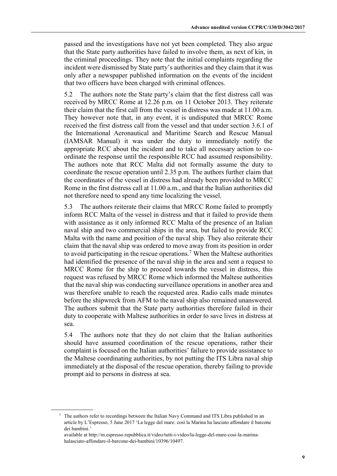passed and the investigations have not yet been completed. They also argue that the State party authorities have failed to involve them, as next of kin, in the criminal proceedings. They note that the initial complaints regarding the incident were dismissed by State party's authorities and they claim that it was only after a newspaper published information on the events of the incident that two officers have been charged with criminal offences.

5.2 The authors note the State party's claim that the first distress call was received by MRCC Rome at 12.26 p.m. on 11 October 2013. They reiterate their claim that the first call from the vessel in distress was made at 11.00 a.m. They however note that, in any event, it is undisputed that MRCC Rome received the first distress call from the vessel and that under section 3.6.1 of the International Aeronautical and Maritime Search and Rescue Manual (IAMSAR Manual) it was under the duty to immediately notify the appropriate RCC about the incident and to take all necessary action to coordinate the response until the responsible RCC had assumed responsibility. The authors note that RCC Malta did not formally assume the duty to coordinate the rescue operation until 2.35 p.m. The authors further claim that the coordinates of the vessel in distress had already been provided to MRCC Rome in the first distress call at 11.00 a.m., and that the Italian authorities did not therefore need to spend any time localizing the vessel.

5.3 The authors reiterate their claims that MRCC Rome failed to promptly inform RCC Malta of the vessel in distress and that it failed to provide them with assistance as it only informed RCC Malta of the presence of an Italian naval ship and two commercial ships in the area, but failed to provide RCC Malta with the name and position of the naval ship. They also reiterate their claim that the naval ship was ordered to move away from its position in order to avoid participating in the rescue operations.<sup>7</sup> When the Maltese authorities had identified the presence of the naval ship in the area and sent a request to MRCC Rome for the ship to proceed towards the vessel in distress, this request was refused by MRCC Rome which informed the Maltese authorities that the naval ship was conducting surveillance operations in another area and was therefore unable to reach the requested area. Radio calls made minutes before the shipwreck from AFM to the naval ship also remained unanswered. The authors submit that the State party authorities therefore failed in their duty to cooperate with Maltese authorities in order to save lives in distress at sea.

5.4 The authors note that they do not claim that the Italian authorities should have assumed coordination of the rescue operations, rather their complaint is focused on the Italian authorities' failure to provide assistance to the Maltese coordinating authorities, by not putting the ITS Libra naval ship immediately at the disposal of the rescue operation, thereby failing to provide prompt aid to persons in distress at sea.

<sup>7</sup> The authors refer to recordings between the Italian Navy Command and ITS Libra published in an article by L'Espresso, 5 June 2017 'La legge del mare: così la Marina ha lasciato affondare il barcone dei bambini.'

available at http://m.espresso.repubblica.it/video/tutti-i-video/la-legge-del-mare-cosi-la-marinahalasciato-affondare-il-barcone-dei-bambini/10396/10497.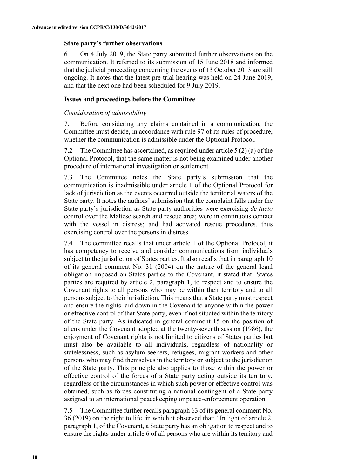### **State party's further observations**

6. On 4 July 2019, the State party submitted further observations on the communication. It referred to its submission of 15 June 2018 and informed that the judicial proceeding concerning the events of 13 October 2013 are still ongoing. It notes that the latest pre-trial hearing was held on 24 June 2019, and that the next one had been scheduled for 9 July 2019.

## **Issues and proceedings before the Committee**

## *Consideration of admissibility*

7.1 Before considering any claims contained in a communication, the Committee must decide, in accordance with rule 97 of its rules of procedure, whether the communication is admissible under the Optional Protocol.

7.2 The Committee has ascertained, as required under article 5 (2) (a) of the Optional Protocol, that the same matter is not being examined under another procedure of international investigation or settlement.

7.3 The Committee notes the State party's submission that the communication is inadmissible under article 1 of the Optional Protocol for lack of jurisdiction as the events occurred outside the territorial waters of the State party. It notes the authors' submission that the complaint falls under the State party's jurisdiction as State party authorities were exercising *de facto* control over the Maltese search and rescue area; were in continuous contact with the vessel in distress; and had activated rescue procedures, thus exercising control over the persons in distress.

7.4 The committee recalls that under article 1 of the Optional Protocol, it has competency to receive and consider communications from individuals subject to the jurisdiction of States parties. It also recalls that in paragraph 10 of its general comment No. 31 (2004) on the nature of the general legal obligation imposed on States parties to the Covenant, it stated that: States parties are required by article 2, paragraph 1, to respect and to ensure the Covenant rights to all persons who may be within their territory and to all persons subject to their jurisdiction. This means that a State party must respect and ensure the rights laid down in the Covenant to anyone within the power or effective control of that State party, even if not situated within the territory of the State party. As indicated in general comment 15 on the position of aliens under the Covenant adopted at the twenty-seventh session (1986), the enjoyment of Covenant rights is not limited to citizens of States parties but must also be available to all individuals, regardless of nationality or statelessness, such as asylum seekers, refugees, migrant workers and other persons who may find themselves in the territory or subject to the jurisdiction of the State party. This principle also applies to those within the power or effective control of the forces of a State party acting outside its territory, regardless of the circumstances in which such power or effective control was obtained, such as forces constituting a national contingent of a State party assigned to an international peacekeeping or peace-enforcement operation.

7.5 The Committee further recalls paragraph 63 of its general comment No. 36 (2019) on the right to life, in which it observed that: "In light of article 2, paragraph 1, of the Covenant, a State party has an obligation to respect and to ensure the rights under article 6 of all persons who are within its territory and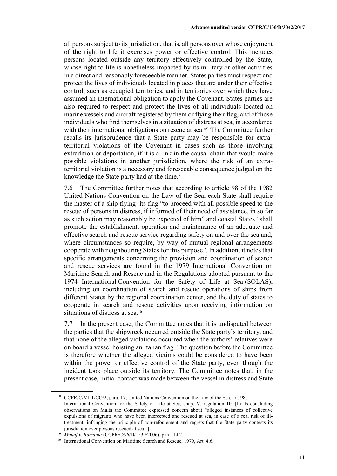all persons subject to its jurisdiction, that is, all persons over whose enjoyment of the right to life it exercises power or effective control. This includes persons located outside any territory effectively controlled by the State, whose right to life is nonetheless impacted by its military or other activities in a direct and reasonably foreseeable manner. States parties must respect and protect the lives of individuals located in places that are under their effective control, such as occupied territories, and in territories over which they have assumed an international obligation to apply the Covenant. States parties are also required to respect and protect the lives of all individuals located on marine vessels and aircraft registered by them or flying their flag, and of those individuals who find themselves in a situation of distress at sea, in accordance with their international obligations on rescue at sea.<sup>8</sup>" The Committee further recalls its jurisprudence that a State party may be responsible for extraterritorial violations of the Covenant in cases such as those involving extradition or deportation, if it is a link in the causal chain that would make possible violations in another jurisdiction, where the risk of an extraterritorial violation is a necessary and foreseeable consequence judged on the knowledge the State party had at the time.<sup>9</sup>

7.6 The Committee further notes that according to article 98 of the 1982 United Nations Convention on the Law of the Sea, each State shall require the master of a ship flying its flag "to proceed with all possible speed to the rescue of persons in distress, if informed of their need of assistance, in so far as such action may reasonably be expected of him" and coastal States "shall promote the establishment, operation and maintenance of an adequate and effective search and rescue service regarding safety on and over the sea and, where circumstances so require, by way of mutual regional arrangements cooperate with neighbouring States for this purpose". In addition, it notes that specific arrangements concerning the provision and coordination of search and rescue services are found in the 1979 International Convention on Maritime Search and Rescue and in the Regulations adopted pursuant to the 1974 International Convention for the Safety of Life at Sea (SOLAS), including on coordination of search and rescue operations of ships from different States by the regional coordination center, and the duty of states to cooperate in search and rescue activities upon receiving information on situations of distress at sea.<sup>10</sup>

7.7 In the present case, the Committee notes that it is undisputed between the parties that the shipwreck occurred outside the State party's territory, and that none of the alleged violations occurred when the authors' relatives were on board a vessel hoisting an Italian flag. The question before the Committee is therefore whether the alleged victims could be considered to have been within the power or effective control of the State party, even though the incident took place outside its territory. The Committee notes that, in the present case, initial contact was made between the vessel in distress and State

<sup>8</sup> CCPR/C/MLT/CO/2, para. 17; United Nations Convention on the Law of the Sea, art. 98; International Convention for the Safety of Life at Sea, chap. V, regulation 10. [In its concluding observations on Malta the Committee expressed concern about "alleged instances of collective expulsions of migrants who have been intercepted and rescued at sea, in case of a real risk of illtreatment, infringing the principle of non-refoulement and regrets that the State party contests its jurisdiction over persons rescued at sea".]

<sup>9</sup> *Munaf v. Romania* (CCPR/C/96/D/1539/2006), para. 14.2.

<sup>&</sup>lt;sup>10</sup> International Convention on Maritime Search and Rescue, 1979, Art. 4.6.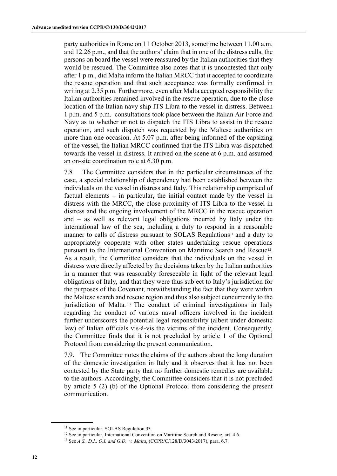party authorities in Rome on 11 October 2013, sometime between 11.00 a.m. and 12.26 p.m., and that the authors' claim that in one of the distress calls, the persons on board the vessel were reassured by the Italian authorities that they would be rescued. The Committee also notes that it is uncontested that only after 1 p.m., did Malta inform the Italian MRCC that it accepted to coordinate the rescue operation and that such acceptance was formally confirmed in writing at 2.35 p.m. Furthermore, even after Malta accepted responsibility the Italian authorities remained involved in the rescue operation, due to the close location of the Italian navy ship ITS Libra to the vessel in distress. Between 1 p.m. and 5 p.m. consultations took place between the Italian Air Force and Navy as to whether or not to dispatch the ITS Libra to assist in the rescue operation, and such dispatch was requested by the Maltese authorities on more than one occasion. At 5.07 p.m. after being informed of the capsizing of the vessel, the Italian MRCC confirmed that the ITS Libra was dispatched towards the vessel in distress. It arrived on the scene at 6 p.m. and assumed an on-site coordination role at 6.30 p.m.

7.8 The Committee considers that in the particular circumstances of the case, a special relationship of dependency had been established between the individuals on the vessel in distress and Italy. This relationship comprised of factual elements – in particular, the initial contact made by the vessel in distress with the MRCC, the close proximity of ITS Libra to the vessel in distress and the ongoing involvement of the MRCC in the rescue operation and – as well as relevant legal obligations incurred by Italy under the international law of the sea, including a duty to respond in a reasonable manner to calls of distress pursuant to SOLAS Regulations<sup>11</sup> and a duty to appropriately cooperate with other states undertaking rescue operations pursuant to the International Convention on Maritime Search and Rescue<sup>12</sup>. As a result, the Committee considers that the individuals on the vessel in distress were directly affected by the decisions taken by the Italian authorities in a manner that was reasonably foreseeable in light of the relevant legal obligations of Italy, and that they were thus subject to Italy's jurisdiction for the purposes of the Covenant, notwithstanding the fact that they were within the Maltese search and rescue region and thus also subject concurrently to the jurisdiction of Malta. <sup>13</sup> The conduct of criminal investigations in Italy regarding the conduct of various naval officers involved in the incident further underscores the potential legal responsibility (albeit under domestic law) of Italian officials vis-à-vis the victims of the incident. Consequently, the Committee finds that it is not precluded by article 1 of the Optional Protocol from considering the present communication.

7.9. The Committee notes the claims of the authors about the long duration of the domestic investigation in Italy and it observes that it has not been contested by the State party that no further domestic remedies are available to the authors. Accordingly, the Committee considers that it is not precluded by article 5 (2) (b) of the Optional Protocol from considering the present communication.

<sup>&</sup>lt;sup>11</sup> See in particular, SOLAS Regulation 33.<br><sup>12</sup> See in particular, International Convention on Maritime Search and Rescue, art. 4.6. <sup>13</sup> See *A.S., D.I., O.I. and G.D. v, Malta*, (CCPR/C/128/D/3043/2017), para. 6.7.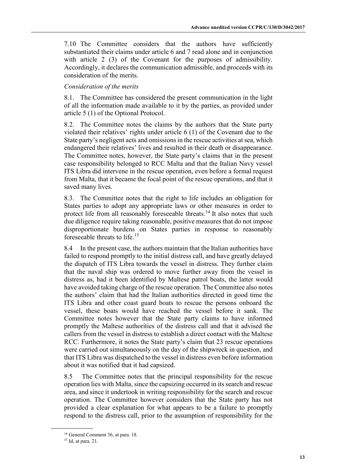7.10 The Committee considers that the authors have sufficiently substantiated their claims under article 6 and 7 read alone and in conjunction with article 2 (3) of the Covenant for the purposes of admissibility. Accordingly, it declares the communication admissible, and proceeds with its consideration of the merits.

## *Consideration of the merits*

8.1. The Committee has considered the present communication in the light of all the information made available to it by the parties, as provided under article 5 (1) of the Optional Protocol.

8.2. The Committee notes the claims by the authors that the State party violated their relatives' rights under article 6 (1) of the Covenant due to the State party's negligent acts and omissions in the rescue activities at sea, which endangered their relatives' lives and resulted in their death or disappearance. The Committee notes, however, the State party's claims that in the present case responsibility belonged to RCC Malta and that the Italian Navy vessel ITS Libra did intervene in the rescue operation, even before a formal request from Malta, that it became the focal point of the rescue operations, and that it saved many lives.

8.3. The Committee notes that the right to life includes an obligation for States parties to adopt any appropriate laws or other measures in order to protect life from all reasonably foreseeable threats.<sup>14</sup> It also notes that such due diligence require taking reasonable, positive measures that do not impose disproportionate burdens on States parties in response to reasonably foreseeable threats to life.<sup>15</sup>

8.4 In the present case, the authors maintain that the Italian authorities have failed to respond promptly to the initial distress call, and have greatly delayed the dispatch of ITS Libra towards the vessel in distress. They further claim that the naval ship was ordered to move further away from the vessel in distress as, had it been identified by Maltese patrol boats, the latter would have avoided taking charge of the rescue operation. The Committee also notes the authors' claim that had the Italian authorities directed in good time the ITS Libra and other coast guard boats to rescue the persons onboard the vessel, these boats would have reached the vessel before it sank. The Committee notes however that the State party claims to have informed promptly the Maltese authorities of the distress call and that it advised the callers from the vessel in distress to establish a direct contact with the Maltese RCC. Furthermore, it notes the State party's claim that 23 rescue operations were carried out simultaneously on the day of the shipwreck in question, and that ITS Libra was dispatched to the vessel in distress even before information about it was notified that it had capsized.

8.5 The Committee notes that the principal responsibility for the rescue operation lies with Malta, since the capsizing occurred in its search and rescue area, and since it undertook in writing responsibility for the search and rescue operation. The Committee however considers that the State party has not provided a clear explanation for what appears to be a failure to promptly respond to the distress call, prior to the assumption of responsibility for the

<sup>&</sup>lt;sup>14</sup> General Comment 36, at para. 18.

<sup>15</sup> Id, at para. 21.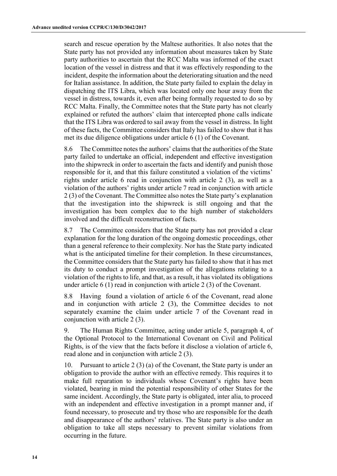search and rescue operation by the Maltese authorities. It also notes that the State party has not provided any information about measures taken by State party authorities to ascertain that the RCC Malta was informed of the exact location of the vessel in distress and that it was effectively responding to the incident, despite the information about the deteriorating situation and the need for Italian assistance. In addition, the State party failed to explain the delay in dispatching the ITS Libra, which was located only one hour away from the vessel in distress, towards it, even after being formally requested to do so by RCC Malta. Finally, the Committee notes that the State party has not clearly explained or refuted the authors' claim that intercepted phone calls indicate that the ITS Libra was ordered to sail away from the vessel in distress. In light of these facts, the Committee considers that Italy has failed to show that it has met its due diligence obligations under article 6 (1) of the Covenant.

8.6 The Committee notes the authors' claims that the authorities of the State party failed to undertake an official, independent and effective investigation into the shipwreck in order to ascertain the facts and identify and punish those responsible for it, and that this failure constituted a violation of the victims' rights under article 6 read in conjunction with article 2 (3), as well as a violation of the authors' rights under article 7 read in conjunction with article 2 (3) of the Covenant. The Committee also notes the State party's explanation that the investigation into the shipwreck is still ongoing and that the investigation has been complex due to the high number of stakeholders involved and the difficult reconstruction of facts.

8.7 The Committee considers that the State party has not provided a clear explanation for the long duration of the ongoing domestic proceedings, other than a general reference to their complexity. Nor has the State party indicated what is the anticipated timeline for their completion. In these circumstances, the Committee considers that the State party has failed to show that it has met its duty to conduct a prompt investigation of the allegations relating to a violation of the rights to life, and that, as a result, it has violated its obligations under article 6 (1) read in conjunction with article 2 (3) of the Covenant.

8.8 Having found a violation of article 6 of the Covenant, read alone and in conjunction with article 2 (3), the Committee decides to not separately examine the claim under article 7 of the Covenant read in conjunction with article 2 (3).

9. The Human Rights Committee, acting under article 5, paragraph 4, of the Optional Protocol to the International Covenant on Civil and Political Rights, is of the view that the facts before it disclose a violation of article 6, read alone and in conjunction with article 2 (3).

10. Pursuant to article 2 (3) (a) of the Covenant, the State party is under an obligation to provide the author with an effective remedy. This requires it to make full reparation to individuals whose Covenant's rights have been violated, bearing in mind the potential responsibility of other States for the same incident. Accordingly, the State party is obligated, inter alia, to proceed with an independent and effective investigation in a prompt manner and, if found necessary, to prosecute and try those who are responsible for the death and disappearance of the authors' relatives. The State party is also under an obligation to take all steps necessary to prevent similar violations from occurring in the future.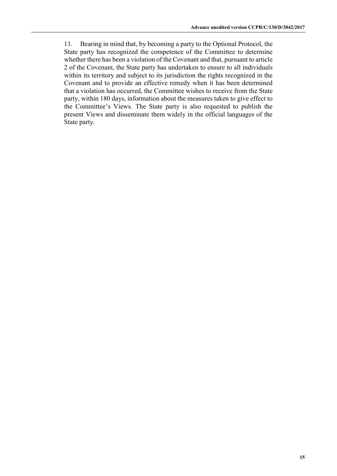11. Bearing in mind that, by becoming a party to the Optional Protocol, the State party has recognized the competence of the Committee to determine whether there has been a violation of the Covenant and that, pursuant to article 2 of the Covenant, the State party has undertaken to ensure to all individuals within its territory and subject to its jurisdiction the rights recognized in the Covenant and to provide an effective remedy when it has been determined that a violation has occurred, the Committee wishes to receive from the State party, within 180 days, information about the measures taken to give effect to the Committee's Views. The State party is also requested to publish the present Views and disseminate them widely in the official languages of the State party.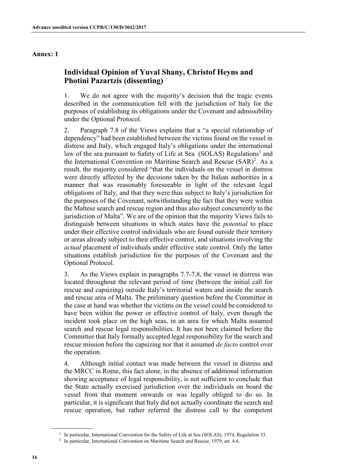#### **Annex: 1**

## **Individual Opinion of Yuval Shany, Christof Heyns and Photini Pazartzis (dissenting)**

1. We do not agree with the majority's decision that the tragic events described in the communication fell with the jurisdiction of Italy for the purposes of establishing its obligations under the Covenant and admissibility under the Optional Protocol.

2. Paragraph 7.8 of the Views explains that a "a special relationship of dependency" had been established between the victims found on the vessel in distress and Italy, which engaged Italy's obligations under the international law of the sea pursuant to Safety of Life at Sea (SOLAS) Regulations<sup>1</sup> and the International Convention on Maritime Search and Rescue (SAR)<sup>2</sup>. As a result, the majority considered "that the individuals on the vessel in distress were directly affected by the decisions taken by the Italian authorities in a manner that was reasonably foreseeable in light of the relevant legal obligations of Italy, and that they were thus subject to Italy's jurisdiction for the purposes of the Covenant, notwithstanding the fact that they were within the Maltese search and rescue region and thus also subject concurrently to the jurisdiction of Malta". We are of the opinion that the majority Views fails to distinguish between situations in which states have the *potential* to place under their effective control individuals who are found outside their territory or areas already subject to their effective control, and situations involving the *actual* placement of individuals under effective state control. Only the latter situations establish jurisdiction for the purposes of the Covenant and the Optional Protocol.

3. As the Views explain in paragraphs 7.7-7.8, the vessel in distress was located throughout the relevant period of time (between the initial call for rescue and capsizing) outside Italy's territorial waters and inside the search and rescue area of Malta. The preliminary question before the Committee in the case at hand was whether the victims on the vessel could be considered to have been within the power or effective control of Italy, even though the incident took place on the high seas, in an area for which Malta assumed search and rescue legal responsibilities. It has not been claimed before the Committee that Italy formally accepted legal responsibility for the search and rescue mission before the capsizing nor that it assumed *de facto* control over the operation.

4. Although initial contact was made between the vessel in distress and the MRCC in Rome, this fact alone, in the absence of additional information showing acceptance of legal responsibility, is not sufficient to conclude that the State actually exercised jurisdiction over the individuals on board the vessel from that moment onwards or was legally obliged to do so. In particular, it is significant that Italy did not actually coordinate the search and rescue operation, but rather referred the distress call to the competent

<sup>&</sup>lt;sup>1</sup> In particular, International Convention for the Safety of Life at Sea (SOLAS), 1974, Regulation 33.<br><sup>2</sup> In particular, International Convention on Maritime Search and Rescue, 1979, art. 4.6.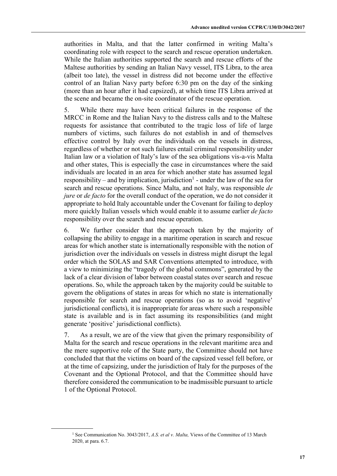authorities in Malta, and that the latter confirmed in writing Malta's coordinating role with respect to the search and rescue operation undertaken. While the Italian authorities supported the search and rescue efforts of the Maltese authorities by sending an Italian Navy vessel, ITS Libra, to the area (albeit too late), the vessel in distress did not become under the effective control of an Italian Navy party before 6:30 pm on the day of the sinking (more than an hour after it had capsized), at which time ITS Libra arrived at the scene and became the on-site coordinator of the rescue operation.

5. While there may have been critical failures in the response of the MRCC in Rome and the Italian Navy to the distress calls and to the Maltese requests for assistance that contributed to the tragic loss of life of large numbers of victims, such failures do not establish in and of themselves effective control by Italy over the individuals on the vessels in distress, regardless of whether or not such failures entail criminal responsibility under Italian law or a violation of Italy's law of the sea obligations vis-a-vis Malta and other states, This is especially the case in circumstances where the said individuals are located in an area for which another state has assumed legal responsibility – and by implication, jurisdiction<sup>1</sup> - under the law of the sea for search and rescue operations. Since Malta, and not Italy, was responsible *de jure* or *de facto* for the overall conduct of the operation, we do not consider it appropriate to hold Italy accountable under the Covenant for failing to deploy more quickly Italian vessels which would enable it to assume earlier *de facto* responsibility over the search and rescue operation.

6. We further consider that the approach taken by the majority of collapsing the ability to engage in a maritime operation in search and rescue areas for which another state is internationally responsible with the notion of jurisdiction over the individuals on vessels in distress might disrupt the legal order which the SOLAS and SAR Conventions attempted to introduce, with a view to minimizing the "tragedy of the global commons", generated by the lack of a clear division of labor between coastal states over search and rescue operations. So, while the approach taken by the majority could be suitable to govern the obligations of states in areas for which no state is internationally responsible for search and rescue operations (so as to avoid 'negative' jurisdictional conflicts), it is inappropriate for areas where such a responsible state is available and is in fact assuming its responsibilities (and might generate 'positive' jurisdictional conflicts).

7. As a result, we are of the view that given the primary responsibility of Malta for the search and rescue operations in the relevant maritime area and the mere supportive role of the State party, the Committee should not have concluded that that the victims on board of the capsized vessel fell before, or at the time of capsizing, under the jurisdiction of Italy for the purposes of the Covenant and the Optional Protocol, and that the Committee should have therefore considered the communication to be inadmissible pursuant to article 1 of the Optional Protocol.

<sup>&</sup>lt;sup>1</sup> See Communication No. 3043/2017, *A.S. et al v. Malta*, Views of the Committee of 13 March 2020, at para. 6.7.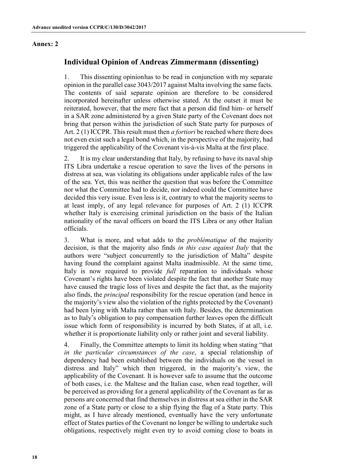#### **Annex: 2**

## **Individual Opinion of Andreas Zimmermann (dissenting)**

1. This dissenting opinionhas to be read in conjunction with my separate opinion in the parallel case 3043/2017 against Malta involving the same facts. The contents of said separate opinion are therefore to be considered incorporated hereinafter unless otherwise stated. At the outset it must be reiterated, however, that the mere fact that a person did find him- or herself in a SAR zone administered by a given State party of the Covenant does not bring that person within the jurisdiction of such State party for purposes of Art. 2 (1) ICCPR. This result must then *a fortiori* be reached where there does not even exist such a legal bond which, in the perspective of the majority, had triggered the applicability of the Covenant vis-à-vis Malta at the first place.

2. It is my clear understanding that Italy, by refusing to have its naval ship ITS Libra undertake a rescue operation to save the lives of the persons in distress at sea, was violating its obligations under applicable rules of the law of the sea. Yet, this was neither the question that was before the Committee nor what the Committee had to decide, nor indeed could the Committee have decided this very issue. Even less is it, contrary to what the majority seems to at least imply, of any legal relevance for purposes of Art. 2 (1) ICCPR whether Italy is exercising criminal jurisdiction on the basis of the Italian nationality of the naval officers on board the ITS Libra or any other Italian officials.

3. What is more, and what adds to the *problématique* of the majority decision, is that the majority also finds *in this case against Italy* that the authors were "subject concurrently to the jurisdiction of Malta" despite having found the complaint against Malta inadmissible. At the same time, Italy is now required to provide *full* reparation to individuals whose Covenant's rights have been violated despite the fact that another State may have caused the tragic loss of lives and despite the fact that, as the majority also finds, the *principal* responsibility for the rescue operation (and hence in the majority's view also the violation of the rights protected by the Covenant) had been lying with Malta rather than with Italy. Besides, the determination as to Italy's obligation to pay compensation further leaves open the difficult issue which form of responsibility is incurred by both States, if at all, i.e. whether it is proportionate liability only or rather joint and several liability.

4. Finally, the Committee attempts to limit its holding when stating "that *in the particular circumstances of the case*, a special relationship of dependency had been established between the individuals on the vessel in distress and Italy" which then triggered, in the majority's view, the applicability of the Covenant. It is however safe to assume that the outcome of both cases, i.e. the Maltese and the Italian case, when read together, will be perceived as providing for a general applicability of the Covenant as far as persons are concerned that find themselves in distress at sea either in the SAR zone of a State party or close to a ship flying the flag of a State party. This might, as I have already mentioned, eventually have the very unfortunate effect of States parties of the Covenant no longer be willing to undertake such obligations, respectively might even try to avoid coming close to boats in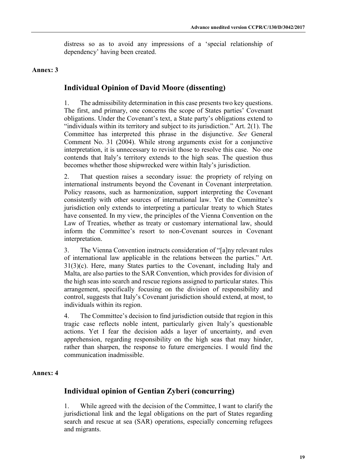distress so as to avoid any impressions of a 'special relationship of dependency' having been created.

## **Annex: 3**

## **Individual Opinion of David Moore (dissenting)**

1. The admissibility determination in this case presents two key questions. The first, and primary, one concerns the scope of States parties' Covenant obligations. Under the Covenant's text, a State party's obligations extend to "individuals within its territory and subject to its jurisdiction." Art.  $2(1)$ . The Committee has interpreted this phrase in the disjunctive. *See* General Comment No. 31 (2004). While strong arguments exist for a conjunctive interpretation, it is unnecessary to revisit those to resolve this case. No one contends that Italy's territory extends to the high seas. The question thus becomes whether those shipwrecked were within Italy's jurisdiction.

2. That question raises a secondary issue: the propriety of relying on international instruments beyond the Covenant in Covenant interpretation. Policy reasons, such as harmonization, support interpreting the Covenant consistently with other sources of international law. Yet the Committee's jurisdiction only extends to interpreting a particular treaty to which States have consented. In my view, the principles of the Vienna Convention on the Law of Treaties, whether as treaty or customary international law, should inform the Committee's resort to non-Covenant sources in Covenant interpretation.

3. The Vienna Convention instructs consideration of "[a]ny relevant rules of international law applicable in the relations between the parties." Art. 31(3)(c). Here, many States parties to the Covenant, including Italy and Malta, are also parties to the SAR Convention, which provides for division of the high seas into search and rescue regions assigned to particular states. This arrangement, specifically focusing on the division of responsibility and control, suggests that Italy's Covenant jurisdiction should extend, at most, to individuals within its region.

4. The Committee's decision to find jurisdiction outside that region in this tragic case reflects noble intent, particularly given Italy's questionable actions. Yet I fear the decision adds a layer of uncertainty, and even apprehension, regarding responsibility on the high seas that may hinder, rather than sharpen, the response to future emergencies. I would find the communication inadmissible.

## **Annex: 4**

## **Individual opinion of Gentian Zyberi (concurring)**

1. While agreed with the decision of the Committee, I want to clarify the jurisdictional link and the legal obligations on the part of States regarding search and rescue at sea (SAR) operations, especially concerning refugees and migrants.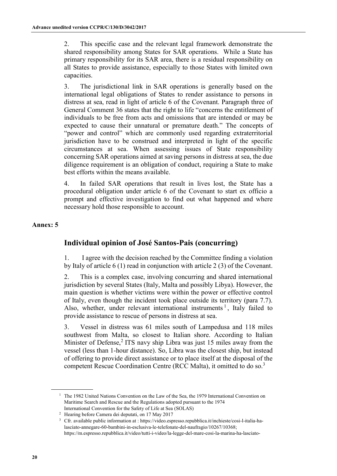2. This specific case and the relevant legal framework demonstrate the shared responsibility among States for SAR operations. While a State has primary responsibility for its SAR area, there is a residual responsibility on all States to provide assistance, especially to those States with limited own capacities.

3. The jurisdictional link in SAR operations is generally based on the international legal obligations of States to render assistance to persons in distress at sea, read in light of article 6 of the Covenant. Paragraph three of General Comment 36 states that the right to life "concerns the entitlement of individuals to be free from acts and omissions that are intended or may be expected to cause their unnatural or premature death." The concepts of "power and control" which are commonly used regarding extraterritorial jurisdiction have to be construed and interpreted in light of the specific circumstances at sea. When assessing issues of State responsibility concerning SAR operations aimed at saving persons in distress at sea, the due diligence requirement is an obligation of conduct, requiring a State to make best efforts within the means available.

4. In failed SAR operations that result in lives lost, the State has a procedural obligation under article 6 of the Covenant to start ex officio a prompt and effective investigation to find out what happened and where necessary hold those responsible to account.

## **Annex: 5**

## **Individual opinion of José Santos-Pais (concurring)**

1. I agree with the decision reached by the Committee finding a violation by Italy of article 6 (1) read in conjunction with article 2 (3) of the Covenant.

2. This is a complex case, involving concurring and shared international jurisdiction by several States (Italy, Malta and possibly Libya). However, the main question is whether victims were within the power or effective control of Italy, even though the incident took place outside its territory (para 7.7). Also, whether, under relevant international instruments  $\frac{1}{1}$ , Italy failed to provide assistance to rescue of persons in distress at sea.

3. Vessel in distress was 61 miles south of Lampedusa and 118 miles southwest from Malta, so closest to Italian shore. According to Italian Minister of Defense,<sup>2</sup> ITS navy ship Libra was just 15 miles away from the vessel (less than 1-hour distance). So, Libra was the closest ship, but instead of offering to provide direct assistance or to place itself at the disposal of the competent Rescue Coordination Centre (RCC Malta), it omitted to do so.<sup>3</sup>

<sup>&</sup>lt;sup>1</sup> The 1982 United Nations Convention on the Law of the Sea, the 1979 International Convention on Maritime Search and Rescue and the Regulations adopted pursuant to the 1974 International Convention for the Safety of Life at Sea (SOLAS)

<sup>2</sup> Hearing before Camera dei deputati, on 17 May 2017

<sup>3</sup> Cfr. available public information at : https://video.espresso.repubblica.it/inchieste/cosi-l-italia-halasciato-annegare-60-bambini-in-esclusiva-le-telefonate-del-naufragio/10267/10368; https://m.espresso.repubblica.it/video/tutti-i-video/la-legge-del-mare-cosi-la-marina-ha-lasciato-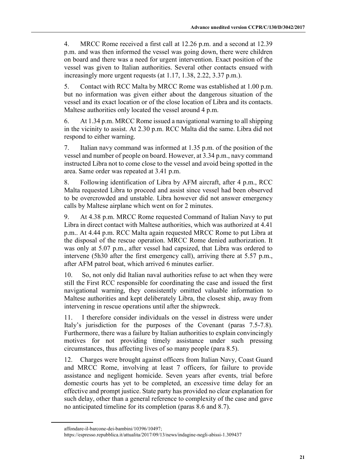4. MRCC Rome received a first call at 12.26 p.m. and a second at 12.39 p.m. and was then informed the vessel was going down, there were children on board and there was a need for urgent intervention. Exact position of the vessel was given to Italian authorities. Several other contacts ensued with increasingly more urgent requests (at 1.17, 1.38, 2.22, 3.37 p.m.).

5. Contact with RCC Malta by MRCC Rome was established at 1.00 p.m. but no information was given either about the dangerous situation of the vessel and its exact location or of the close location of Libra and its contacts. Maltese authorities only located the vessel around 4 p.m.

6. At 1.34 p.m. MRCC Rome issued a navigational warning to all shipping in the vicinity to assist. At 2.30 p.m. RCC Malta did the same. Libra did not respond to either warning.

7. Italian navy command was informed at 1.35 p.m. of the position of the vessel and number of people on board. However, at 3.34 p.m., navy command instructed Libra not to come close to the vessel and avoid being spotted in the area. Same order was repeated at 3.41 p.m.

8. Following identification of Libra by AFM aircraft, after 4 p.m., RCC Malta requested Libra to proceed and assist since vessel had been observed to be overcrowded and unstable. Libra however did not answer emergency calls by Maltese airplane which went on for 2 minutes.

9. At 4.38 p.m. MRCC Rome requested Command of Italian Navy to put Libra in direct contact with Maltese authorities, which was authorized at 4.41 p.m.. At 4.44 p.m. RCC Malta again requested MRCC Rome to put Libra at the disposal of the rescue operation. MRCC Rome denied authorization. It was only at 5.07 p.m., after vessel had capsized, that Libra was ordered to intervene (5h30 after the first emergency call), arriving there at 5.57 p.m., after AFM patrol boat, which arrived 6 minutes earlier.

10. So, not only did Italian naval authorities refuse to act when they were still the First RCC responsible for coordinating the case and issued the first navigational warning, they consistently omitted valuable information to Maltese authorities and kept deliberately Libra, the closest ship, away from intervening in rescue operations until after the shipwreck.

11. I therefore consider individuals on the vessel in distress were under Italy's jurisdiction for the purposes of the Covenant (paras 7.5-7.8). Furthermore, there was a failure by Italian authorities to explain convincingly motives for not providing timely assistance under such pressing circumstances, thus affecting lives of so many people (para 8.5).

12. Charges were brought against officers from Italian Navy, Coast Guard and MRCC Rome, involving at least 7 officers, for failure to provide assistance and negligent homicide. Seven years after events, trial before domestic courts has yet to be completed, an excessive time delay for an effective and prompt justice. State party has provided no clear explanation for such delay, other than a general reference to complexity of the case and gave no anticipated timeline for its completion (paras 8.6 and 8.7).

affondare-il-barcone-dei-bambini/10396/10497;

https://espresso.repubblica.it/attualita/2017/09/13/news/indagine-negli-abissi-1.309437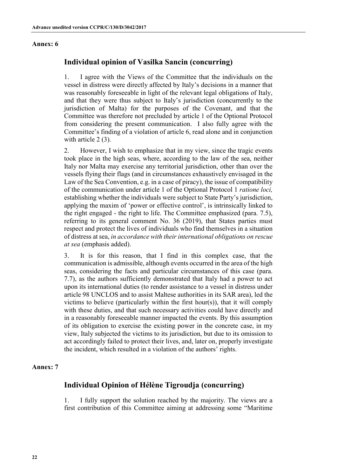#### **Annex: 6**

## **Individual opinion of Vasilka Sancin (concurring)**

1. I agree with the Views of the Committee that the individuals on the vessel in distress were directly affected by Italy's decisions in a manner that was reasonably foreseeable in light of the relevant legal obligations of Italy, and that they were thus subject to Italy's jurisdiction (concurrently to the jurisdiction of Malta) for the purposes of the Covenant, and that the Committee was therefore not precluded by article 1 of the Optional Protocol from considering the present communication. I also fully agree with the Committee's finding of a violation of article 6, read alone and in conjunction with article 2 (3).

2. However, I wish to emphasize that in my view, since the tragic events took place in the high seas, where, according to the law of the sea, neither Italy nor Malta may exercise any territorial jurisdiction, other than over the vessels flying their flags (and in circumstances exhaustively envisaged in the Law of the Sea Convention, e.g. in a case of piracy), the issue of compatibility of the communication under article 1 of the Optional Protocol 1 *ratione loci,* establishing whether the individuals were subject to State Party's jurisdiction, applying the maxim of 'power or effective control', is intrinsically linked to the right engaged - the right to life. The Committee emphasized (para. 7.5), referring to its general comment No. 36 (2019), that States parties must respect and protect the lives of individuals who find themselves in a situation of distress at sea, *in accordance with their international obligations on rescue at sea* (emphasis added).

3. It is for this reason, that I find in this complex case, that the communication is admissible, although events occurred in the area of the high seas, considering the facts and particular circumstances of this case (para. 7.7), as the authors sufficiently demonstrated that Italy had a power to act upon its international duties (to render assistance to a vessel in distress under article 98 UNCLOS and to assist Maltese authorities in its SAR area), led the victims to believe (particularly within the first hour(s)), that it will comply with these duties, and that such necessary activities could have directly and in a reasonably foreseeable manner impacted the events. By this assumption of its obligation to exercise the existing power in the concrete case, in my view, Italy subjected the victims to its jurisdiction, but due to its omission to act accordingly failed to protect their lives, and, later on, properly investigate the incident, which resulted in a violation of the authors' rights.

### **Annex: 7**

## **Individual Opinion of Hélène Tigroudja (concurring)**

1. I fully support the solution reached by the majority. The views are a first contribution of this Committee aiming at addressing some "Maritime